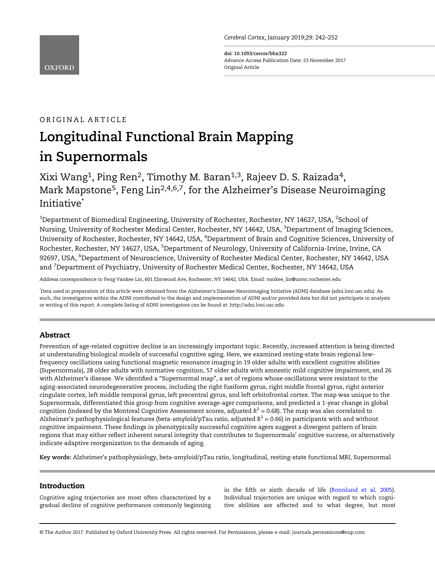Cerebral Cortex, January 2019;29: 242–252

doi: 10.1093/cercor/bhx322 Advance Access Publication Date: 23 November 2017 Original Article

# ORIGINAL ARTICLE

# Longitudinal Functional Brain Mapping in Supernormals

# Xixi Wang<sup>1</sup>, Ping Ren<sup>2</sup>, Timothy M. Baran<sup>1,3</sup>, Rajeev D. S. Raizada<sup>4</sup>, Mark Mapstone<sup>5</sup>, Feng Lin<sup>2,4,6,7</sup>, for the Alzheimer's Disease Neuroimaging Initiative\*

 $^{\rm 1}$ Department of Biomedical Engineering, University of Rochester, Rochester, NY 14627, USA,  $^{\rm 2}$ School of Nursing, University of Rochester Medical Center, Rochester, NY 14642, USA, <sup>3</sup>Department of Imaging Sciences, University of Rochester, Rochester, NY 14642, USA, <sup>4</sup>Department of Brain and Cognitive Sciences, University of Rochester, Rochester, NY 14627, USA, <sup>5</sup>Department of Neurology, University of California-Irvine, Irvine, CA 92697, USA, <sup>6</sup>Department of Neuroscience, University of Rochester Medical Center, Rochester, NY 14642, USA and <sup>7</sup>Department of Psychiatry, University of Rochester Medical Center, Rochester, NY 14642, USA

Address correspondence to Feng Vankee Lin, 601 Elmwood Ave, Rochester, NY 14642, USA. Email: vankee\_lin@urmc.rochester.edu

\* Data used in preparation of this article were obtained from the Alzheimer's Disease Neuroimaging Initiative (ADNI) database (adni.loni.usc.edu). As such, the investigators within the ADNI contributed to the design and implementation of ADNI and/or provided data but did not participate in analysis or writing of this report. A complete listing of ADNI investigators can be found at: http://adni.loni.usc.edu

# Abstract

Prevention of age-related cognitive decline is an increasingly important topic. Recently, increased attention is being directed at understanding biological models of successful cognitive aging. Here, we examined resting-state brain regional lowfrequency oscillations using functional magnetic resonance imaging in 19 older adults with excellent cognitive abilities (Supernormals), 28 older adults with normative cognition, 57 older adults with amnestic mild cognitive impairment, and 26 with Alzheimer's disease. We identified a "Supernormal map", a set of regions whose oscillations were resistant to the aging-associated neurodegenerative process, including the right fusiform gyrus, right middle frontal gyrus, right anterior cingulate cortex, left middle temporal gyrus, left precentral gyrus, and left orbitofrontal cortex. The map was unique to the Supernormals, differentiated this group from cognitive average-ager comparisons, and predicted a 1-year change in global cognition (indexed by the Montreal Cognitive Assessment scores, adjusted  $R^2 = 0.68$ ). The map was also correlated to Alzheimer's pathophysiological features (beta-amyloid/pTau ratio, adjusted  $R^2 = 0.66$ ) in participants with and without cognitive impairment. These findings in phenotypically successful cognitive agers suggest a divergent pattern of brain regions that may either reflect inherent neural integrity that contributes to Supernormals' cognitive success, or alternatively indicate adaptive reorganization to the demands of aging.

Key words: Alzheimer's pathophysiology, beta-amyloid/pTau ratio, longitudinal, resting-state functional MRI, Supernormal

# Introduction

Cognitive aging trajectories are most often characterized by a gradual decline of cognitive performance commonly beginning

in the fifth or sixth decade of life ([Ronnlund et al. 2005\)](#page-10-0). Individual trajectories are unique with regard to which cognitive abilities are affected and to what degree, but most

© The Author 2017. Published by Oxford University Press. All rights reserved. For Permissions, please e-mail: journals.permissions@oup.com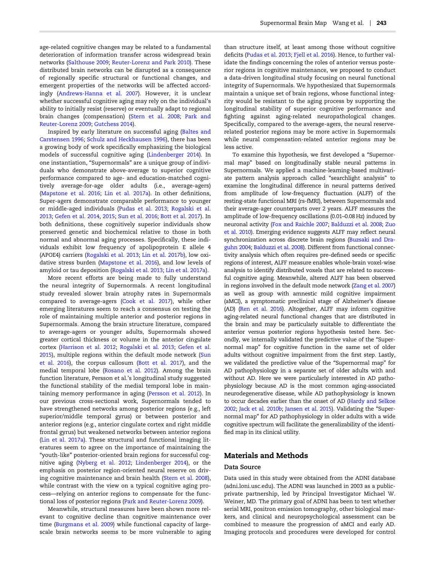age-related cognitive changes may be related to a fundamental deterioration of information transfer across widespread brain networks [\(Salthouse 2009](#page-10-0); [Reuter-Lorenz and Park 2010](#page-10-0)). These distributed brain networks can be disrupted as a consequence of regionally specific structural or functional changes, and emergent properties of the networks will be affected accordingly ([Andrews-Hanna et al. 2007\)](#page-8-0). However, it is unclear whether successful cognitive aging may rely on the individual's ability to initially resist (reserve) or eventually adapt to regional brain changes (compensation) [\(Stern et al. 2008;](#page-10-0) [Park and](#page-9-0) [Reuter-Lorenz 2009;](#page-9-0) [Gutchess 2014](#page-9-0)).

Inspired by early literature on successful aging ([Baltes and](#page-8-0) [Carstensen 1996](#page-8-0); [Schulz and Heckhausen 1996](#page-10-0)), there has been a growing body of work specifically emphasizing the biological models of successful cognitive aging ([Lindenberger 2014\)](#page-9-0). In one instantiation, "Supernormals" are a unique group of individuals who demonstrate above-average to superior cognitive performance compared to age- and education-matched cognitively average-for-age older adults (i.e., average-agers) [\(Mapstone et al. 2016;](#page-9-0) [Lin et al. 2017a](#page-9-0)). In other definitions, Super-agers demonstrate comparable performance to younger or middle-aged individuals [\(Pudas et al. 2013](#page-9-0); [Rogalski et al.](#page-10-0) [2013;](#page-10-0) [Gefen et al. 2014,](#page-9-0) [2015;](#page-9-0) [Sun et al. 2016;](#page-10-0) [Bott et al. 2017\)](#page-8-0). In both definitions, these cognitively superior individuals show preserved genetic and biochemical relative to those in both normal and abnormal aging processes. Specifically, these individuals exhibit low frequency of apolipoprotein E allele 4 (APOE4) carriers [\(Rogalski et al. 2013](#page-10-0); [Lin et al. 2017b\)](#page-9-0), low oxidative stress burden ([Mapstone et al. 2016\)](#page-9-0), and low levels of amyloid or tau deposition [\(Rogalski et al. 2013](#page-10-0); [Lin et al. 2017a\)](#page-9-0).

More recent efforts are being made to fully understand the neural integrity of Supernormals. A recent longitudinal study revealed slower brain atrophy rates in Supernormals compared to average-agers [\(Cook et al. 2017](#page-8-0)), while other emerging literatures seem to reach a consensus on testing the role of maintaining multiple anterior and posterior regions in Supernormals. Among the brain structure literature, compared to average-agers or younger adults, Supernormals showed greater cortical thickness or volume in the anterior cingulate cortex ([Harrison et al. 2012](#page-9-0); [Rogalski et al. 2013;](#page-10-0) [Gefen et al.](#page-9-0) [2015\)](#page-9-0), multiple regions within the default mode network ([Sun](#page-10-0) [et al. 2016\)](#page-10-0), the corpus callosum ([Bott et al. 2017\)](#page-8-0), and the medial temporal lobe ([Rosano et al. 2012\)](#page-10-0). Among the brain function literature, Persson et al.'s longitudinal study suggested the functional stability of the medial temporal lobe in maintaining memory performance in aging [\(Persson et al. 2012](#page-9-0)). In our previous cross-sectional work, Supernormals tended to have strengthened networks among posterior regions (e.g., left superior/middle temporal gyrus) or between posterior and anterior regions (e.g., anterior cingulate cortex and right middle frontal gyrus) but weakened networks between anterior regions [\(Lin et al. 2017a](#page-9-0)). These structural and functional imaging literatures seem to agree on the importance of maintaining the "youth-like" posterior-oriented brain regions for successful cognitive aging ([Nyberg et al. 2012;](#page-9-0) [Lindenberger 2014\)](#page-9-0), or the emphasis on posterior region-oriented neural reserve on driving cognitive maintenance and brain health [\(Stern et al. 2008\)](#page-10-0), while contrast with the view on a typical cognitive aging process—relying on anterior regions to compensate for the functional loss of posterior regions ([Park and Reuter-Lorenz 2009\)](#page-9-0).

Meanwhile, structural measures have been shown more relevant to cognitive decline than cognitive maintenance over time [\(Burgmans et al. 2009](#page-8-0)) while functional capacity of largescale brain networks seems to be more vulnerable to aging

than structure itself, at least among those without cognitive deficits ([Pudas et al. 2013](#page-9-0); [Fjell et al. 2016](#page-9-0)). Hence, to further validate the findings concerning the roles of anterior versus posterior regions in cognitive maintenance, we proposed to conduct a data-driven longitudinal study focusing on neural functional integrity of Supernormals. We hypothesized that Supernormals maintain a unique set of brain regions, whose functional integrity would be resistant to the aging process by supporting the longitudinal stability of superior cognitive performance and fighting against aging-related neuropathological changes. Specifically, compared to the average-agers, the neural reserverelated posterior regions may be more active in Supernormals while neural compensation-related anterior regions may be less active.

To examine this hypothesis, we first developed a "Supernormal map" based on longitudinally stable neural patterns in Supernormals. We applied a machine-learning-based multivariate pattern analysis approach called "searchlight analysis" to examine the longitudinal difference in neural patterns derived from amplitude of low-frequency fluctuation (ALFF) of the resting-state functional MRI (rs-fMRI), between Supernormals and their average-ager counterparts over 2 years. ALFF measures the amplitude of low-frequency oscillations (0.01–0.08 Hz) induced by neuronal activity ([Fox and Raichle 2007;](#page-9-0) [Balduzzi et al. 2008;](#page-8-0) [Zuo](#page-10-0) [et al. 2010\)](#page-10-0). Emerging evidence suggests ALFF may reflect neural synchronization across discrete brain regions [\(Buzsaki and Dra](#page-8-0)[guhn 2004;](#page-8-0) [Balduzzi et al. 2008\)](#page-8-0). Different from functional connectivity analysis which often requires pre-defined seeds or specific regions of interest, ALFF measure enables whole-brain voxel-wise analysis to identify distributed voxels that are related to successful cognitive aging. Meanwhile, altered ALFF has been observed in regions involved in the default mode network [\(Zang et al. 2007\)](#page-10-0) as well as group with amnestic mild cognitive impairment (aMCI), a symptomatic preclinical stage of Alzheimer's disease (AD) ([Ren et al. 2016](#page-9-0)). Altogether, ALFF may inform cognitive aging-related neural functional changes that are distributed in the brain and may be particularly suitable to differentiate the anterior versus posterior regions hypothesis tested here. Secondly, we internally validated the predictive value of the "Supernormal map" for cognitive function in the same set of older adults without cognitive impairment from the first step. Lastly, we validated the predictive value of the "Supernormal map" for AD pathophysiology in a separate set of older adults with and without AD. Here we were particularly interested in AD pathophysiology because AD is the most common aging-associated neurodegenerative disease, while AD pathophysiology is known to occur decades earlier than the onset of AD [\(Hardy and Selkoe](#page-9-0) [2002](#page-9-0); [Jack et al. 2010b;](#page-9-0) [Jansen et al. 2015\)](#page-9-0). Validating the "Supernormal map" for AD pathophysiology in older adults with a wide cognitive spectrum will facilitate the generalizability of the identified map in its clinical utility.

#### Materials and Methods

# Data Source

Data used in this study were obtained from the ADNI database (adni.loni.usc.edu). The ADNI was launched in 2003 as a publicprivate partnership, led by Principal Investigator Michael W. Weiner, MD. The primary goal of ADNI has been to test whether serial MRI, positron emission tomography, other biological markers, and clinical and neuropsychological assessment can be combined to measure the progression of aMCI and early AD. Imaging protocols and procedures were developed for control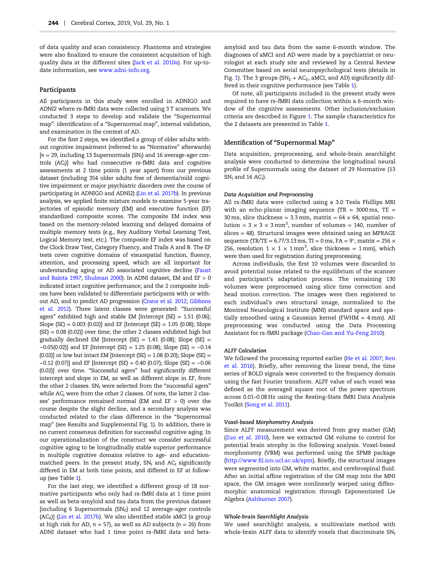of data quality and scan consistency. Phantoms and strategies were also finalized to ensure the consistent acquisition of high quality data at the different sites [\(Jack et al. 2010a](#page-9-0)). For up-todate information, see [www.adni-info.org.](http://www.adni-info.org)

#### Participants

All participants in this study were enrolled in ADNIGO and ADNI2 where rs-fMRI data were collected using 3 T scanners. We conducted 3 steps to develop and validate the "Supernormal map": identification of a "Supernormal map", internal validation, and examination in the context of AD.

For the first 2 steps, we identified a group of older adults without cognitive impairment (referred to as "Normative" afterwards)  $[n = 29,$  including 13 Supernormals  $(SN<sub>I</sub>)$  and 16 average-ager controls (ACI)] who had consecutive rs-fMRI data and cognitive assessments at 2 time points (1 year apart) from our previous dataset (including 354 older adults free of dementia/mild cognitive impairment or major psychiatric disorders over the course of participating in ADNIGO and ADNI2) [\(Lin et al. 2017b](#page-9-0)). In previous analysis, we applied finite mixture models to examine 5-year trajectories of episodic memory (EM) and executive function (EF) standardized composite scores. The composite EM index was based on the memory-related learning and delayed domains of multiple memory tests (e.g., Rey Auditory Verbal Learning Test, Logical Memory test, etc.). The composite EF index was based on the Clock Draw Test, Category Fluency, and Trails A and B. The EF tests cover cognitive domains of visuospatial function, fluency, attention, and processing speed, which are all important for understanding aging or AD associated cognitive decline ([Faust](#page-9-0) [and Balota 1997](#page-9-0); [Shulman 2000\)](#page-10-0). In ADNI dataset, EM and  $EF > 0$ indicated intact cognitive performance; and the 2 composite indices have been validated to differentiate participants with or without AD, and to predict AD progression ([Crane et al. 2012;](#page-8-0) [Gibbons](#page-9-0) [et al. 2012](#page-9-0)). Three latent classes were generated: "Successful agers" exhibited high and stable EM [Intercept  $(SE) = 1.51$  (0.06); Slope (SE) =  $0.003$  (0.02)] and EF [Intercept (SE) =  $1.05$  (0.08); Slope  $(SE) = 0.08$  (0.02)] over time; the other 2 classes exhibited high but gradually declined EM [Intercept (SE) =  $1.41$  (0.08); Slope (SE) = −0.05(0.02)] and EF [Intercept (SE) = 1.25 (0.08); Slope (SE) = −0.14  $(0.02)$ ] or low but intact EM [Intercept (SE) = 1.08 (0.20); Slope (SE) = −0.12 (0.07)] and EF [Intercept (SE) = 0.40 (0.07); Slope (SE) = −0.06 (0.02)] over time. "Successful agers" had significantly different intercept and slope in EM, as well as different slope in EF, from the other 2 classes.  $SN_I$  were selected from the "successful agers" while AC<sub>I</sub> were from the other 2 classes. Of note, the latter 2 classes' performance remained normal (EM and  $EF > 0$ ) over the course despite the slight decline, and a secondary analysis was conducted related to the class difference in the "Supernormal map" (see Results and Supplemental Fig. 1). In addition, there is no current consensus definition for successful cognitive aging. In our operationalization of the construct we consider successful cognitive aging to be longitudinally stable superior performance in multiple cognitive domains relative to age- and educationmatched peers. In the present study,  $SN_{I}$  and  $AC_{I}$  significantly differed in EM at both time points, and differed in EF at followup (see Table [1](#page-3-0)).

For the last step, we identified a different group of 18 normative participants who only had rs-fMRI data at 1 time point as well as beta-amyloid and tau data from the previous dataset [including 6 Supernormals  $(SN_E)$  and 12 average-ager controls  $(AC<sub>E</sub>)$ ] ([Lin et al. 2017b](#page-9-0)). We also identified stable aMCI (a group at high risk for AD,  $n = 57$ ), as well as AD subjects ( $n = 26$ ) from ADNI dataset who had 1 time point rs-fMRI data and beta-

amyloid and tau data from the same 6-month window. The diagnoses of aMCI and AD were made by a psychiatrist or neurologist at each study site and reviewed by a Central Review Committee based on serial neuropsychological tests (details in Fig. [1](#page-3-0)). The 3 groups ( $SN_E + AC_E$ , aMCI, and AD) significantly differed in their cognitive performance (see Table [1\)](#page-3-0).

Of note, all participants included in the present study were required to have rs-fMRI data collection within a 6-month window of the cognitive assessments. Other inclusion/exclusion criteria are described in Figure [1](#page-3-0). The sample characteristics for the 2 datasets are presented in Table [1](#page-3-0).

#### Identification of "Supernormal Map"

Data acquisition, preprocessing, and whole-brain searchlight analysis were conducted to determine the longitudinal neural profile of Supernormals using the dataset of 29 Normative (13  $SN<sub>I</sub>$  and 16 AC<sub>I</sub>).

#### Data Acquisition and Preprocessing

All rs-fMRI data were collected using a 3.0 Tesla Phillips MRI with an echo-planar imaging sequence (TR =  $3000 \text{ ms}$ , TE = 30 ms, slice thickness = 3.3 mm, matrix =  $64 \times 64$ , spatial resolution =  $3 \times 3 \times 3$  mm<sup>3</sup>, number of volumes = 140, number of slices = 48). Structural images were obtained using an MPRAGE sequence (TR/TE =  $6.77/3.13$  ms, TI = 0 ms, FA =  $9^{\circ}$ , matrix =  $256 \times$ 256, resolution  $1 \times 1 \times 1$  mm<sup>3</sup>, slice thickness = 1 mm), which were then used for registration during preprocessing.

Across individuals, the first 10 volumes were discarded to avoid potential noise related to the equilibrium of the scanner and participant's adaptation process. The remaining 130 volumes were preprocessed using slice time correction and head motion correction. The images were then registered to each individual's own structural image, normalized to the Montreal Neurological Institute (MNI) standard space and spatially smoothed using a Gaussian kernel (FWHM  $= 4$  mm). All preprocessing was conducted using the Data Processing Assistant for rs-fMRI package [\(Chao-Gan and Yu-Feng 2010](#page-8-0)).

#### ALFF Calculation

We followed the processing reported earlier [\(He et al. 2007;](#page-9-0) [Ren](#page-9-0) [et al. 2016](#page-9-0)). Briefly, after removing the linear trend, the time series of BOLD signals were converted to the frequency domain using the fast Fourier transform. ALFF value of each voxel was defined as the averaged square root of the power spectrum across 0.01–0.08 Hz using the Resting-State fMRI Data Analysis Toolkit [\(Song et al. 2011\)](#page-10-0).

#### Voxel-based Morphometry Analysis

Since ALFF measurement was derived from gray matter (GM) [\(Zuo et al. 2010\)](#page-10-0), here we extracted GM volume to control for potential brain atrophy in the following analysis. Voxel-based morphometry (VBM) was performed using the SPM8 package (http://www.fi[l.ion.ucl.ac.uk/spm\)](http://www.fil.ion.ucl.ac.uk/spm). Briefly, the structural images were segmented into GM, white matter, and cerebrospinal fluid. After an initial affine registration of the GM map into the MNI space, the GM images were nonlinearly warped using diffeomorphic anatomical registration through Exponentiated Lie Algebra [\(Ashburner 2007](#page-8-0)).

#### Whole-brain Searchlight Analysis

We used searchlight analysis, a multivariate method with whole-brain ALFF data to identify voxels that discriminate  $SN_I$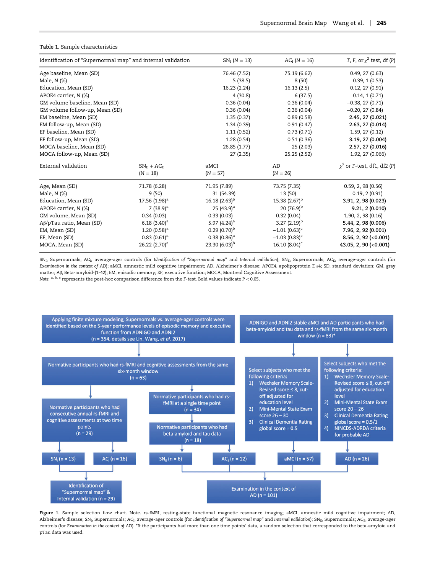#### <span id="page-3-0"></span>Table 1. Sample characteristics

| Identification of "Supernormal map" and internal validation |                           | $SN_{I} (N = 13)$  | $AC_I (N = 16)$        | T, F, or $\chi^2$ test, df (P)<br>0.49, 27(0.63) |  |  |
|-------------------------------------------------------------|---------------------------|--------------------|------------------------|--------------------------------------------------|--|--|
| Age baseline, Mean (SD)                                     |                           | 76.46 (7.52)       | 75.19 (6.62)           |                                                  |  |  |
| Male, $N$ $%$                                               |                           | 5(38.5)            | 8(50)                  | 0.39, 1(0.53)                                    |  |  |
| Education, Mean (SD)                                        |                           | 16.23 (2.24)       | 16.13(2.5)             | 0.12, 27(0.91)                                   |  |  |
| APOE4 carrier, N (%)                                        |                           | 4(30.8)            | 6(37.5)                | 0.14, 1(0.71)                                    |  |  |
| GM volume baseline, Mean (SD)                               |                           | 0.36(0.04)         | 0.36(0.04)             | $-0.38, 27(0.71)$                                |  |  |
| GM volume follow-up, Mean (SD)                              |                           | 0.36(0.04)         | 0.36(0.04)             | $-0.20, 27(0.84)$                                |  |  |
| EM baseline, Mean (SD)                                      |                           | 1.35(0.37)         | 0.89(0.58)             | 2.45, 27 (0.021)                                 |  |  |
| EM follow-up, Mean (SD)                                     |                           | 1.34(0.39)         | 0.91(0.47)             | 2.63, 27 (0.014)                                 |  |  |
| EF baseline, Mean (SD)                                      |                           | 1.11(0.52)         | 0.73(0.71)             | 1.59, 27 (0.12)                                  |  |  |
| EF follow-up, Mean (SD)                                     |                           | 1.28(0.54)         | 0.51(0.36)             | 3.19, 27 (0.004)                                 |  |  |
| MOCA baseline, Mean (SD)                                    |                           | 26.85 (1.77)       | 25(2.03)               | 2.57, 27 (0.016)                                 |  |  |
| MOCA follow-up, Mean (SD)                                   |                           | 27 (2.35)          | 25.25 (2.52)           | 1.92, 27 (0.066)                                 |  |  |
| External validation                                         | $SN_{E} + AC_{E}$         | aMCI               | AD                     | $\chi^2$ or F-test, df1, df2 (P)                 |  |  |
|                                                             | $(N = 18)$                | $(N = 57)$         | $(N = 26)$             |                                                  |  |  |
| Age, Mean (SD)                                              | 71.78 (6.28)              | 71.95 (7.89)       | 73.75 (7.35)           | 0.59, 2, 98(0.56)                                |  |  |
| Male, $N$ $%$                                               | 9(50)                     | 31 (54.39)         | 13 (50)                | 0.19, 2(0.91)                                    |  |  |
| Education, Mean (SD)                                        | 17.56 $(1.98)^a$          | 16.18 $(2.63)^{b}$ | 15.38 $(2.67)^{b}$     | 3.91, 2, 98 (0.023)                              |  |  |
| APOE4 carrier, N (%)                                        | 7 $(38.9)^a$              | 25 $(43.9)^a$      | 20 (76.9) <sup>b</sup> | 9.21, 2(0.010)                                   |  |  |
| GM volume, Mean (SD)                                        | 0.34(0.03)                | 0.33(0.03)         | 0.32(0.04)             | 1.90, 2, 98 (0.16)                               |  |  |
| Aβ/pTau ratio, Mean (SD)                                    | 6.18 $(3.40)^a$           | 5.97 $(4.24)^a$    | 3.27 $(2.19)^{b}$      | 5.44, 2, 98 (0.006)                              |  |  |
| EM, Mean (SD)                                               | 1.20 $(0.58)^a$           | $0.29(0.70)^b$     | $-1.01(0.63)^c$        | 7.96, 2, 92 (0.001)                              |  |  |
| EF, Mean (SD)                                               | $0.83(0.61)^a$            | $0.38(0.86)^a$     | $-1.03(0.83)^c$        | 8.56, 2, 92 $\left( < 0.001 \right)$             |  |  |
| MOCA, Mean (SD)                                             | 26.22 (2.70) <sup>a</sup> | 23.30 $(6.03)^{b}$ | 16.10 $(8.04)^c$       | 43.05, 2, 90 $\left( < 0.001 \right)$            |  |  |

SN<sub>I</sub>, Supernormals; AC<sub>I</sub>, average-ager controls (for Identification of "Supernormal map" and Internal validation); SN<sub>E</sub>, Supernormals; AC<sub>E</sub>, average-ager controls (for Examination in the context of AD); aMCI, amnestic mild cognitive impairment; AD, Alzheimer's disease; APOE4, apolipoprotein E ε4; SD, standard deviation; GM, gray matter; Aβ, Beta-amyloid-(1-42); EM, episodic memory; EF, executive function; MOCA, Montreal Cognitive Assessment.

Note.  $a, b, c$  represents the post-hoc comparison difference from the F-test. Bold values indicate  $P < 0.05$ .



Figure 1. Sample selection flow chart. Note. rs-fMRI, resting-state functional magnetic resonance imaging; aMCI, amnestic mild cognitive impairment; AD, Alzheimer's disease; SN<sub>I</sub>, Supernormals; AC<sub>I</sub>, average-ager controls (for Identification of "Supernormal map" and Internal validation); SN<sub>E</sub>, Supernormals; AC<sub>E</sub>, average-ager controls (for Examination in the context of AD). \*If the participants had more than one time points' data, a random selection that corresponded to the beta-amyloid and pTau data was used.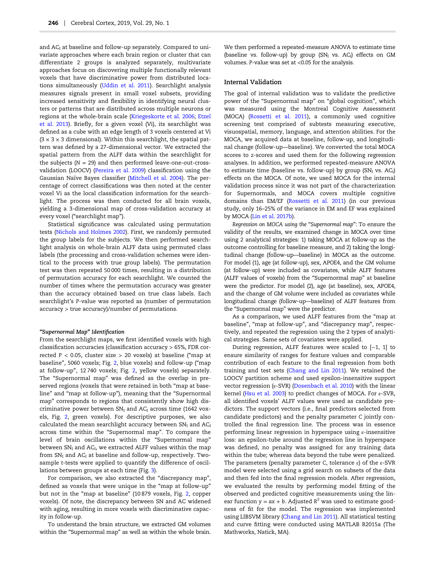and AC<sub>I</sub> at baseline and follow-up separately. Compared to univariate approaches where each brain region or cluster that can differentiate 2 groups is analyzed separately, multivariate approaches focus on discovering multiple functionally relevant voxels that have discriminative power from distributed locations simultaneously ([Uddin et al. 2011\)](#page-10-0). Searchlight analysis measures signals present in small voxel subsets, providing increased sensitivity and flexibility in identifying neural clusters or patterns that are distributed across multiple neurons or regions at the whole-brain scale [\(Kriegeskorte et al. 2006;](#page-9-0) [Etzel](#page-9-0) [et al. 2013](#page-9-0)). Briefly, for a given voxel (Vi), its searchlight was defined as a cube with an edge length of 3 voxels centered at Vi  $(3 \times 3 \times 3)$  dimensional). Within this searchlight, the spatial pattern was defined by a 27-dimensional vector. We extracted the spatial pattern from the ALFF data within the searchlight for the subjects  $(N = 29)$  and then performed leave-one-out-crossvalidation (LOOCV) ([Pereira et al. 2009\)](#page-9-0) classification using the Gaussian Naïve Bayes classifier ([Mitchell et al. 2004](#page-9-0)). The percentage of correct classifications was then noted at the center voxel Vi as the local classification information for the searchlight. The process was then conducted for all brain voxels, yielding a 3-dimensional map of cross-validation accuracy at every voxel ("searchlight map").

Statistical significance was calculated using permutation tests ([Nichols and Holmes 2002](#page-9-0)). First, we randomly permuted the group labels for the subjects. We then performed searchlight analysis on whole-brain ALFF data using permuted class labels (the processing and cross-validation schemes were identical to the process with true group labels). The permutation test was then repeated 50 000 times, resulting in a distribution of permutation accuracy for each searchlight. We counted the number of times where the permutation accuracy was greater than the accuracy obtained based on true class labels. Each searchlight's P-value was reported as (number of permutation accuracy > true accuracy)/number of permutations.

#### "Supernormal Map" Identification

From the searchlight maps, we first identified voxels with high classification accuracies (classification accuracy > 65%, FDR corrected  $P < 0.05$ , cluster size  $> 20$  voxels) at baseline ("map at baseline", 5060 voxels; Fig. [2](#page-5-0), blue voxels) and follow-up ("map at follow-up", 12 740 voxels; Fig. [2,](#page-5-0) yellow voxels) separately. The "Supernormal map" was defined as the overlap in preserved regions (voxels that were retained in both "map at baseline" and "map at follow-up"), meaning that the "Supernormal map" corresponds to regions that consistently show high discriminative power between  $SN_{I}$  and  $AC_{I}$  across time (1642 voxels, Fig. [2](#page-5-0), green voxels). For descriptive purposes, we also calculated the mean searchlight accuracy between  $SN_I$  and  $AC_I$ across time within the "Supernormal map". To compare the level of brain oscillations within the "Supernormal map" between  $SN_{I}$  and  $AC_{I}$ , we extracted ALFF values within the map from  $SN_I$  and  $AC_I$  at baseline and follow-up, respectively. Twosample t-tests were applied to quantify the difference of oscillations between groups at each time (Fig. [3\)](#page-5-0).

For comparison, we also extracted the "discrepancy map", defined as voxels that were unique in the "map at follow-up" but not in the "map at baseline" (10 879 voxels, Fig. [2,](#page-5-0) copper voxels). Of note, the discrepancy between SN and AC widened with aging, resulting in more voxels with discriminative capacity in follow-up.

To understand the brain structure, we extracted GM volumes within the "Supernormal map" as well as within the whole brain. We then performed a repeated-measure ANOVA to estimate time (baseline vs. follow-up) by group ( $SN<sub>I</sub>$  vs. AC<sub>I</sub>) effects on GM volumes. P-value was set at <0.05 for the analysis.

#### Internal Validation

The goal of internal validation was to validate the predictive power of the "Supernormal map" on "global cognition", which was measured using the Montreal Cognitive Assessment (MOCA) ([Rossetti et al. 2011](#page-10-0)), a commonly used cognitive screening test comprised of subtests measuring executive, visuospatial, memory, language, and attention abilities. For the MOCA, we acquired data at baseline, follow-up, and longitudinal change (follow-up—baseline). We converted the total MOCA scores to z-scores and used them for the following regression analyses. In addition, we performed repeated-measure ANOVA to estimate time (baseline vs. follow-up) by group  $(SN<sub>I</sub>$  vs. AC<sub>I</sub>) effects on the MOCA. Of note, we used MOCA for the internal validation process since it was not part of the characterization for Supernormals, and MOCA covers multiple cognitive domains than EM/EF [\(Rossetti et al. 2011\)](#page-10-0) (in our previous study, only 16–25% of the variance in EM and EF was explained by MOCA [\(Lin et al. 2017b\)](#page-9-0).

Regression on MOCA using the "Supernormal map": To ensure the validity of the results, we examined change in MOCA over time using 2 analytical strategies: 1) taking MOCA at follow-up as the outcome controlling for baseline measure, and 2) taking the longitudinal change (follow-up—baseline) in MOCA as the outcome. For model (1), age (at follow-up), sex, APOE4, and the GM volume (at follow-up) were included as covariates, while ALFF features (ALFF values of voxels) from the "Supernormal map" at baseline were the predictor. For model (2), age (at baseline), sex, APOE4, and the change of GM volume were included as covariates while longitudinal change (follow-up—baseline) of ALFF features from the "Supernormal map" were the predictor.

As a comparison, we used ALFF features from the "map at baseline", "map at follow-up", and "discrepancy map", respectively, and repeated the regression using the 2 types of analytical strategies. Same sets of covariates were applied.

During regression, ALFF features were scaled to [−1, 1] to ensure similarity of ranges for feature values and comparable contribution of each feature to the final regression from both training and test sets ([Chang and Lin 2011](#page-8-0)). We retained the LOOCV partition scheme and used epsilon-insensitive support vector regression (ε-SVR) [\(Dosenbach et al. 2010\)](#page-9-0) with the linear kernel [\(Hsu et al. 2003\)](#page-9-0) to predict changes of MOCA. For ε-SVR, all identified voxels' ALFF values were used as candidate predictors. The support vectors (i.e., final predictors selected from candidate predictors) and the penalty parameter C jointly controlled the final regression line. The process was in essence performing linear regression in hyperspace using ε-insensitive loss: an epsilon-tube around the regression line in hyperspace was defined, no penalty was assigned for any training data within the tube; whereas data beyond the tube were penalized. The parameters (penalty parameter C, tolerance  $\varepsilon$ ) of the  $\varepsilon$ -SVR model were selected using a grid search on subsets of the data and then fed into the final regression models. After regression, we evaluated the results by performing model fitting of the observed and predicted cognitive measurements using the linear function  $y = ax + b$ . Adjusted  $R^2$  was used to estimate goodness of fit for the model. The regression was implemented using LIBSVM library ([Chang and Lin 2011](#page-8-0)). All statistical testing and curve fitting were conducted using MATLAB R2015a (The Mathworks, Natick, MA).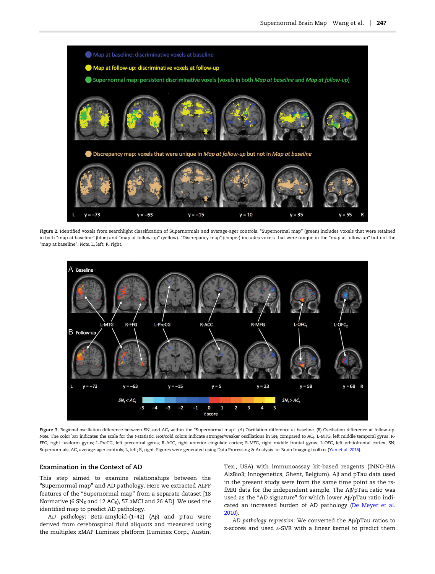<span id="page-5-0"></span>

Figure 2. Identified voxels from searchlight classification of Supernormals and average-ager controls. "Supernormal map" (green) includes voxels that were retained in both "map at baseline" (blue) and "map at follow-up" (yellow). "Discrepancy map" (copper) includes voxels that were unique in the "map at follow-up" but not the "map at baseline". Note. L, left; R, right.



Figure 3. Regional oscillation difference between SN<sub>I</sub> and AC<sub>I</sub> within the "Supernormal map". (A) Oscillation difference at baseline. (B) Oscillation difference at follow-up. Note. The color bar indicates the scale for the t-statistic. Hot/cold colors indicate stronger/weaker oscillations in SN<sub>I</sub> compared to AC<sub>I</sub>. L-MTG, left middle temporal gyrus; R-FFG, right fusiform gyrus; L-PreCG, left precentral gyrus; R-ACC, right anterior cingulate cortex; R-MFG, right middle frontal gyrus; L-OFC, left orbitofrontal cortex; SN, Supernormals; AC, average-ager controls; L, left; R, right. Figures were generated using Data Processing & Analysis for Brain Imaging toolbox [\(Yan et al. 2016](#page-10-0)).

#### Examination in the Context of AD

This step aimed to examine relationships between the "Supernormal map" and AD pathology. Here we extracted ALFF features of the "Supernormal map" from a separate dataset [18 Normative (6  $SN_E$  and 12  $AC_E$ ), 57 aMCI and 26 AD]. We used the identified map to predict AD pathology.

AD pathology: Beta-amyloid-(1–42) (Aβ) and pTau were derived from cerebrospinal fluid aliquots and measured using the multiplex xMAP Luminex platform (Luminex Corp., Austin, Tex., USA) with immunoassay kit-based reagents (INNO-BIA AlzBio3; Innogenetics, Ghent, Belgium). Aβ and pTau data used in the present study were from the same time point as the rsfMRI data for the independent sample. The Aβ/pTau ratio was used as the "AD signature" for which lower Aβ/pTau ratio indicated an increased burden of AD pathology ([De Meyer et al.](#page-8-0) [2010\)](#page-8-0).

AD pathology regression: We converted the Aβ/pTau ratios to z-scores and used ε-SVR with a linear kernel to predict them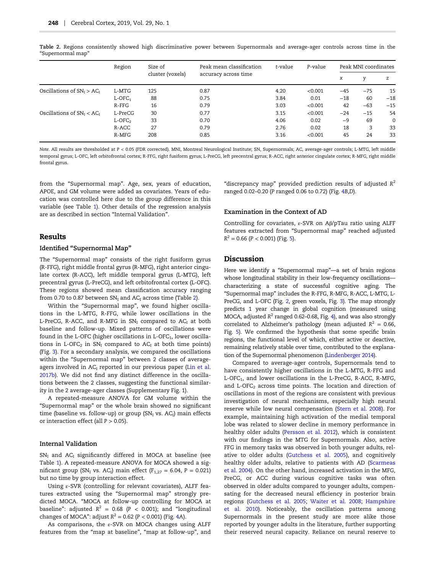Table 2. Regions consistently showed high discriminative power between Supernormals and average-ager controls across time in the "Supernormal map"

|                               | Region                | Size of<br>cluster (voxels) | Peak mean classification<br>accuracy across time | t-value | P-value | Peak MNI coordinates |       |          |
|-------------------------------|-----------------------|-----------------------------|--------------------------------------------------|---------|---------|----------------------|-------|----------|
|                               |                       |                             |                                                  |         |         | χ                    | ν     | z        |
| Oscillations of $SN_I > AC_I$ | L-MTG                 | 125                         | 0.87                                             | 4.20    | < 0.001 | $-45$                | $-75$ | 15       |
|                               | $L$ -OFC <sub>1</sub> | 88                          | 0.75                                             | 3.84    | 0.01    | $-18$                | 60    | $-18$    |
|                               | $R$ - $FFG$           | 16                          | 0.79                                             | 3.03    | < 0.001 | 42                   | $-63$ | $-15$    |
| Oscillations of $SN_I < AC_I$ | L-PreCG               | 30                          | 0.77                                             | 3.15    | < 0.001 | $-24$                | $-15$ | 54       |
|                               | $L$ -OFC <sub>2</sub> | 33                          | 0.70                                             | 4.06    | 0.02    | $-9$                 | 69    | $\Omega$ |
|                               | R-ACC                 | 27                          | 0.79                                             | 2.76    | 0.02    | 18                   | 3     | 33       |
|                               | $R-MFG$               | 208                         | 0.85                                             | 3.16    | < 0.001 | 45                   | 24    | 33       |

Note. All results are thresholded at P < 0.05 (FDR corrected). MNI, Montreal Neurological Institute; SN, Supernormals; AC, average-ager controls; L-MTG, left middle temporal gyrus; L-OFC, left orbitofrontal cortex; R-FFG, right fusiform gyrus; L-PreCG, left precentral gyrus; R-ACC, right anterior cingulate cortex; R-MFG, right middle frontal gyrus.

from the "Supernormal map". Age, sex, years of education, APOE, and GM volume were added as covariates. Years of education was controlled here due to the group difference in this variable (see Table [1\)](#page-3-0). Other details of the regression analysis are as described in section "Internal Validation".

# Results

#### Identified "Supernormal Map"

The "Supernormal map" consists of the right fusiform gyrus (R-FFG), right middle frontal gyrus (R-MFG), right anterior cingulate cortex (R-ACC), left middle temporal gyrus (L-MTG), left precentral gyrus (L-PreCG), and left orbitofrontal cortex (L-OFC). These regions showed mean classification accuracy ranging from 0.70 to 0.87 between  $SN<sub>I</sub>$  and  $AC<sub>I</sub>$  across time (Table 2).

Within the "Supernormal map", we found higher oscillations in the L-MTG, R-FFG, while lower oscillations in the L-PreCG, R-ACC, and R-MFG in  $SN<sub>I</sub>$  compared to AC<sub>I</sub> at both baseline and follow-up. Mixed patterns of oscillations were found in the L-OFC (higher oscillations in L-OFC $_1$ , lower oscillations in L-OFC<sub>2</sub> in SN<sub>I</sub> compared to AC<sub>I</sub> at both time points) (Fig. [3\)](#page-5-0). For a secondary analysis, we compared the oscillations within the "Supernormal map" between 2 classes of averageagers involved in  $AC<sub>I</sub>$  reported in our previous paper [\(Lin et al.](#page-9-0) [2017b\)](#page-9-0). We did not find any distinct difference in the oscillations between the 2 classes, suggesting the functional similarity in the 2 average-ager classes (Supplementary Fig. 1).

A repeated-measure ANOVA for GM volume within the "Supernormal map" or the whole brain showed no significant time (baseline vs. follow-up) or group (SNI vs. ACI) main effects or interaction effect (all  $P > 0.05$ ).

#### Internal Validation

 $SN_{I}$  and  $AC_{I}$  significantly differed in MOCA at baseline (see Table [1](#page-3-0)). A repeated-measure ANOVA for MOCA showed a significant group (SN<sub>I</sub> vs. AC<sub>I</sub>) main effect (F<sub>1,27</sub> = 6.04, P = 0.021) but no time by group interaction effect.

Using ε-SVR (controlling for relevant covariates), ALFF features extracted using the "Supernormal map" strongly predicted MOCA. "MOCA at follow-up controlling for MOCA at baseline": adjusted  $R^2 = 0.68$  (P < 0.001); and "longitudinal changes of MOCA": adjust  $R^2 = 0.62$  (P < 0.001) (Fig. [4](#page-7-0)A).

As comparisons, the  $\varepsilon$ -SVR on MOCA changes using ALFF features from the "map at baseline", "map at follow-up", and

"discrepancy map" provided prediction results of adjusted  $R^2$ ranged 0.02–0.20 (P ranged 0.06 to 0.72) (Fig. [4](#page-7-0)B,D).

#### Examination in the Context of AD

Controlling for covariates, ε-SVR on Aβ/pTau ratio using ALFF features extracted from "Supernormal map" reached adjusted  $R^2 = 0.66$  (P < 0.001) (Fig. [5\)](#page-7-0).

# Discussion

Here we identify a "Supernormal map"—a set of brain regions whose longitudinal stability in their low-frequency oscillations characterizing a state of successful cognitive aging. The "Supernormal map" includes the R-FFG, R-MFG, R-ACC, L-MTG, L-PreCG, and L-OFC (Fig. [2](#page-5-0), green voxels, Fig. [3](#page-5-0)). The map strongly predicts 1 year change in global cognition (measured using MOCA, adjusted  $R^2$  ranged 0.62-0.68, Fig. [4\)](#page-7-0), and was also strongly correlated to Alzheimer's pathology (mean adjusted  $R^2 = 0.66$ , Fig. [5](#page-7-0)). We confirmed the hypothesis that some specific brain regions, the functional level of which, either active or deactive, remaining relatively stable over time, contributed to the explanation of the Supernormal phenomenon [\(Lindenberger 2014](#page-9-0)).

Compared to average-ager controls, Supernormals tend to have consistently higher oscillations in the L-MTG, R-FFG and L-OFC<sub>1</sub>, and lower oscillations in the L-PreCG, R-ACC, R-MFG, and L-OFC<sub>2</sub> across time points. The location and direction of oscillations in most of the regions are consistent with previous investigation of neural mechanisms, especially high neural reserve while low neural compensation ([Stern et al. 2008\)](#page-10-0). For example, maintaining high activation of the medial temporal lobe was related to slower decline in memory performance in healthy older adults ([Persson et al. 2012\)](#page-9-0), which is consistent with our findings in the MTG for Supernormals. Also, active FFG in memory tasks was observed in both younger adults, relative to older adults [\(Gutchess et al. 2005\)](#page-9-0), and cognitively healthy older adults, relative to patients with AD ([Scarmeas](#page-10-0) [et al. 2004\)](#page-10-0). On the other hand, increased activation in the MFG, PreCG, or ACC during various cognitive tasks was often observed in older adults compared to younger adults, compensating for the decreased neural efficiency in posterior brain regions [\(Gutchess et al. 2005;](#page-9-0) [Waiter et al. 2008](#page-10-0); [Hampshire](#page-9-0) [et al. 2010\)](#page-9-0). Noticeably, the oscillation patterns among Supernormals in the present study are more alike those reported by younger adults in the literature, further supporting their reserved neural capacity. Reliance on neural reserve to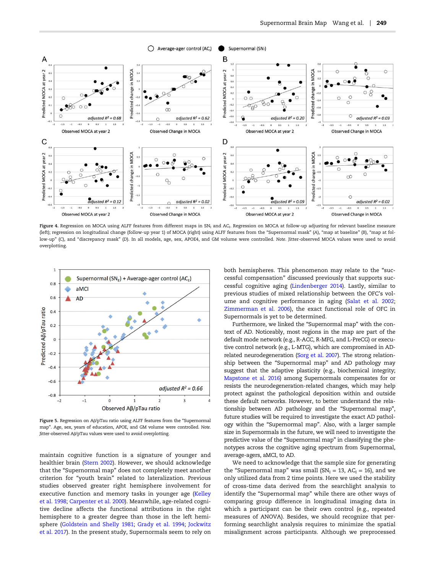<span id="page-7-0"></span>

Figure 4. Regression on MOCA using ALFF features from different maps in SN<sub>I</sub> and AC<sub>I</sub>. Regression on MOCA at follow-up adjusting for relevant baseline measure (left); regression on longitudinal change (follow-up year 1) of MOCA (right) using ALFF features from the "Supernormal mask" (A), "map at baseline" (B), "map at follow-up" (C), and "discrepancy mask" (D). In all models, age, sex, APOE4, and GM volume were controlled. Note. Jitter-observed MOCA values were used to avoid overplotting.



Figure 5. Regression on Aβ/pTau ratio using ALFF features from the "Supernormal map". Age, sex, years of education, APOE, and GM volume were controlled. Note. Jitter-observed Aβ/pTau values were used to avoid overplotting.

maintain cognitive function is a signature of younger and healthier brain ([Stern 2002\)](#page-10-0). However, we should acknowledge that the "Supernormal map" does not completely meet another criterion for "youth brain" related to lateralization. Previous studies observed greater right hemisphere involvement for executive function and memory tasks in younger age [\(Kelley](#page-9-0) [et al. 1998;](#page-9-0) [Carpenter et al. 2000](#page-8-0)). Meanwhile, age-related cognitive decline affects the functional attributions in the right hemisphere to a greater degree than those in the left hemisphere ([Goldstein and Shelly 1981;](#page-9-0) [Grady et al. 1994;](#page-9-0) [Jockwitz](#page-9-0) [et al. 2017\)](#page-9-0). In the present study, Supernormals seem to rely on

both hemispheres. This phenomenon may relate to the "successful compensation" discussed previously that supports successful cognitive aging ([Lindenberger 2014](#page-9-0)). Lastly, similar to previous studies of mixed relationship between the OFC's volume and cognitive performance in aging ([Salat et al. 2002;](#page-10-0) [Zimmerman et al. 2006](#page-10-0)), the exact functional role of OFC in Supernormals is yet to be determined.

Furthermore, we linked the "Supernormal map" with the context of AD. Noticeably, most regions in the map are part of the default mode network (e.g., R-ACC, R-MFG, and L-PreCG) or executive control network (e.g., L-MTG), which are compromised in ADrelated neurodegeneration [\(Sorg et al. 2007\)](#page-10-0). The strong relationship between the "Supernormal map" and AD pathology may suggest that the adaptive plasticity (e.g., biochemical integrity; [Mapstone et al. 2016](#page-9-0)) among Supernormals compensates for or resists the neurodegeneration-related changes, which may help protect against the pathological deposition within and outside these default networks. However, to better understand the relationship between AD pathology and the "Supernormal map", future studies will be required to investigate the exact AD pathology within the "Supernormal map". Also, with a larger sample size in Supernormals in the future, we will need to investigate the predictive value of the "Supernormal map" in classifying the phenotypes across the cognitive aging spectrum from Supernormal, average-agers, aMCI, to AD.

We need to acknowledge that the sample size for generating the "Supernormal map" was small  $(SN_I = 13, AC_I = 16)$ , and we only utilized data from 2 time points. Here we used the stability of cross-time data derived from the searchlight analysis to identify the "Supernormal map" while there are other ways of comparing group difference in longitudinal imaging data in which a participant can be their own control (e.g., repeated measures of ANOVA). Besides, we should recognize that performing searchlight analysis requires to minimize the spatial misalignment across participants. Although we preprocessed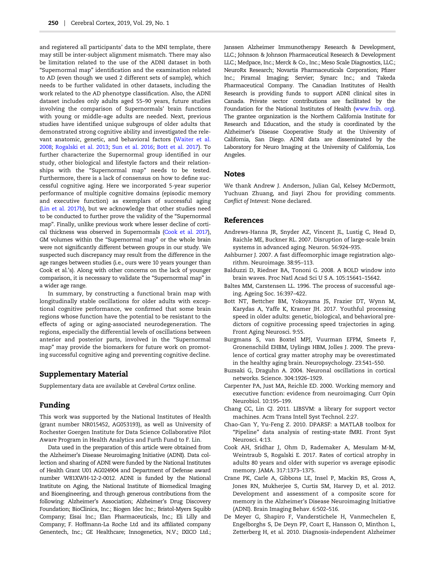<span id="page-8-0"></span>and registered all participants' data to the MNI template, there may still be inter-subject alignment mismatch. There may also be limitation related to the use of the ADNI dataset in both "Supernormal map" identification and the examination related to AD (even though we used 2 different sets of sample), which needs to be further validated in other datasets, including the work related to the AD phenotype classification. Also, the ADNI dataset includes only adults aged 55–90 years, future studies involving the comparison of Supernormals' brain functions with young or middle-age adults are needed. Next, previous studies have identified unique subgroups of older adults that demonstrated strong cognitive ability and investigated the relevant anatomic, genetic, and behavioral factors ([Waiter et al.](#page-10-0) [2008;](#page-10-0) [Rogalski et al. 2013](#page-10-0); [Sun et al. 2016](#page-10-0); Bott et al. 2017). To further characterize the Supernormal group identified in our study, other biological and lifestyle factors and their relationships with the "Supernormal map" needs to be tested. Furthermore, there is a lack of consensus on how to define successful cognitive aging. Here we incorporated 5-year superior performance of multiple cognitive domains (episodic memory and executive function) as exemplars of successful aging [\(Lin et al. 2017b](#page-9-0)), but we acknowledge that other studies need to be conducted to further prove the validity of the "Supernormal map". Finally, unlike previous work where lesser decline of cortical thickness was observed in Supernormals (Cook et al. 2017), GM volumes within the "Supernormal map" or the whole brain were not significantly different between groups in our study. We suspected such discrepancy may result from the difference in the age ranges between studies (i.e., ours were 10 years younger than Cook et al.'s). Along with other concerns on the lack of younger comparison, it is necessary to validate the "Supernormal map" in a wider age range.

In summary, by constructing a functional brain map with longitudinally stable oscillations for older adults with exceptional cognitive performance, we confirmed that some brain regions whose function have the potential to be resistant to the effects of aging or aging-associated neurodegeneration. The regions, especially the differential levels of oscillations between anterior and posterior parts, involved in the "Supernormal map" may provide the biomarkers for future work on promoting successful cognitive aging and preventing cognitive decline.

# Supplementary Material

Supplementary data are available at Cerebral Cortex online.

#### Funding

This work was supported by the National Institutes of Health (grant number NR015452, AG053193), as well as University of Rochester Goergen Institute for Data Science Collaborative Pilot Aware Program in Health Analytics and Furth Fund to F. Lin.

Data used in the preparation of this article were obtained from the Alzheimer's Disease Neuroimaging Initiative (ADNI). Data collection and sharing of ADNI were funded by the National Institutes of Health Grant U01 AG024904 and Department of Defense award number W81XWH-12-2-0012. ADNI is funded by the National Institute on Aging, the National Institute of Biomedical Imaging and Bioengineering, and through generous contributions from the following: Alzheimer's Association; Alzheimer's Drug Discovery Foundation; BioClinica, Inc.; Biogen Idec Inc.; Bristol-Myers Squibb Company; Eisai Inc.; Elan Pharmaceuticals, Inc.; Eli Lilly and Company; F. Hoffmann-La Roche Ltd and its affiliated company Genentech, Inc.; GE Healthcare; Innogenetics, N.V.; IXICO Ltd.;

Janssen Alzheimer Immunotherapy Research & Development, LLC.; Johnson & Johnson Pharmaceutical Research & Development LLC.; Medpace, Inc.; Merck & Co., Inc.; Meso Scale Diagnostics, LLC.; NeuroRx Research; Novartis Pharmaceuticals Corporation; Pfizer Inc.; Piramal Imaging; Servier; Synarc Inc.; and Takeda Pharmaceutical Company. The Canadian Institutes of Health Research is providing funds to support ADNI clinical sites in Canada. Private sector contributions are facilitated by the Foundation for the National Institutes of Health [\(www.fnih. org\)](www.fnih. org). The grantee organization is the Northern California Institute for Research and Education, and the study is coordinated by the Alzheimer's Disease Cooperative Study at the University of California, San Diego. ADNI data are disseminated by the Laboratory for Neuro Imaging at the University of California, Los Angeles.

# Notes

We thank Andrew J. Anderson, Julian Gal, Kelsey McDermott, Yuchuan Zhuang, and Jiayi Zhou for providing comments. Conflict of Interest: None declared.

# References

- Andrews-Hanna JR, Snyder AZ, Vincent JL, Lustig C, Head D, Raichle ME, Buckner RL. 2007. Disruption of large-scale brain systems in advanced aging. Neuron. 56:924–935.
- Ashburner J. 2007. A fast diffeomorphic image registration algorithm. Neuroimage. 38:95–113.
- Balduzzi D, Riedner BA, Tononi G. 2008. A BOLD window into brain waves. Proc Natl Acad Sci U S A. 105:15641–15642.
- Baltes MM, Carstensen LL. 1996. The process of successful ageing. Ageing Soc. 16:397–422.
- Bott NT, Bettcher BM, Yokoyama JS, Frazier DT, Wynn M, Karydas A, Yaffe K, Kramer JH. 2017. Youthful processing speed in older adults: genetic, biological, and behavioral predictors of cognitive processing speed trajectories in aging. Front Aging Neurosci. 9:55.
- Burgmans S, van Boxtel MPJ, Vuurman EFPM, Smeets F, Gronenschild EHBM, Uylings HBM, Jolles J. 2009. The prevalence of cortical gray matter atrophy may be overestimated in the healthy aging brain. Neuropsychology. 23:541–550.
- Buzsaki G, Draguhn A. 2004. Neuronal oscillations in cortical networks. Science. 304:1926–1929.
- Carpenter PA, Just MA, Reichle ED. 2000. Working memory and executive function: evidence from neuroimaging. Curr Opin Neurobiol. 10:195–199.
- Chang CC, Lin CJ. 2011. LIBSVM: a library for support vector machines. Acm Trans Intell Syst Technol. 2:27.
- Chao-Gan Y, Yu-Feng Z. 2010. DPARSF: a MATLAB toolbox for "Pipeline" data analysis of resting-state fMRI. Front Syst Neurosci. 4:13.
- Cook AH, Sridhar J, Ohm D, Rademaker A, Mesulam M-M, Weintraub S, Rogalski E. 2017. Rates of cortical atrophy in adults 80 years and older with superior vs average episodic memory. JAMA. 317:1373–1375.
- Crane PK, Carle A, Gibbons LE, Insel P, Mackin RS, Gross A, Jones RN, Mukherjee S, Curtis SM, Harvey D, et al. 2012. Development and assessment of a composite score for memory in the Alzheimer's Disease Neuroimaging Initiative (ADNI). Brain Imaging Behav. 6:502–516.
- De Meyer G, Shapiro F, Vanderstichele H, Vanmechelen E, Engelborghs S, De Deyn PP, Coart E, Hansson O, Minthon L, Zetterberg H, et al. 2010. Diagnosis-independent Alzheimer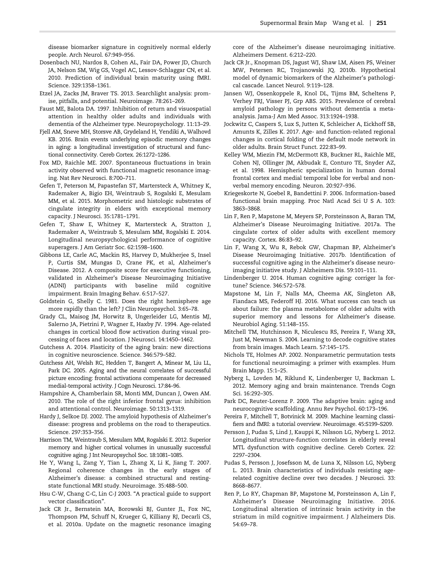<span id="page-9-0"></span>disease biomarker signature in cognitively normal elderly people. Arch Neurol. 67:949–956.

- Dosenbach NU, Nardos B, Cohen AL, Fair DA, Power JD, Church JA, Nelson SM, Wig GS, Vogel AC, Lessov-Schlaggar CN, et al. 2010. Prediction of individual brain maturity using fMRI. Science. 329:1358–1361.
- Etzel JA, Zacks JM, Braver TS. 2013. Searchlight analysis: promise, pitfalls, and potential. Neuroimage. 78:261–269.
- Faust ME, Balota DA. 1997. Inhibition of return and visuospatial attention in healthy older adults and individuals with dementia of the Alzheimer type. Neuropsychology. 11:13–29.
- Fjell AM, Sneve MH, Storsve AB, Grydeland H, Yendiki A, Walhovd KB. 2016. Brain events underlying episodic memory changes in aging: a longitudinal investigation of structural and functional connectivity. Cereb Cortex. 26:1272–1286.
- Fox MD, Raichle ME. 2007. Spontaneous fluctuations in brain activity observed with functional magnetic resonance imaging. Nat Rev Neurosci. 8:700–711.
- Gefen T, Peterson M, Papastefan ST, Martersteck A, Whitney K, Rademaker A, Bigio EH, Weintraub S, Rogalski E, Mesulam MM, et al. 2015. Morphometric and histologic substrates of cingulate integrity in elders with exceptional memory capacity. J Neurosci. 35:1781–1791.
- Gefen T, Shaw E, Whitney K, Martersteck A, Stratton J, Rademaker A, Weintraub S, Mesulam MM, Rogalski E. 2014. Longitudinal neuropsychological performance of cognitive superagers. J Am Geriatr Soc. 62:1598–1600.
- Gibbons LE, Carle AC, Mackin RS, Harvey D, Mukherjee S, Insel P, Curtis SM, Mungas D, Crane PK, et al, Alzheimer's Disease. 2012. A composite score for executive functioning, validated in Alzheimer's Disease Neuroimaging Initiative (ADNI) participants with baseline mild cognitive impairment. Brain Imaging Behav. 6:517–527.
- Goldstein G, Shelly C. 1981. Does the right hemisphere age more rapidly than the left? J Clin Neuropsychol. 3:65–78.
- Grady CL, Maisog JM, Horwitz B, Ungerleider LG, Mentis MJ, Salerno JA, Pietrini P, Wagner E, Haxby JV. 1994. Age-related changes in cortical blood flow activation during visual processing of faces and location. J Neurosci. 14:1450–1462.
- Gutchess A. 2014. Plasticity of the aging brain: new directions in cognitive neuroscience. Science. 346:579–582.
- Gutchess AH, Welsh RC, Hedden T, Bangert A, Minear M, Liu LL, Park DC. 2005. Aging and the neural correlates of successful picture encoding: frontal activations compensate for decreased medial-temporal activity. J Cogn Neurosci. 17:84–96.
- Hampshire A, Chamberlain SR, Monti MM, Duncan J, Owen AM. 2010. The role of the right inferior frontal gyrus: inhibition and attentional control. Neuroimage. 50:1313–1319.
- Hardy J, Selkoe DJ. 2002. The amyloid hypothesis of Alzheimer's disease: progress and problems on the road to therapeutics. Science. 297:353–356.
- Harrison TM, Weintraub S, Mesulam MM, Rogalski E. 2012. Superior memory and higher cortical volumes in unusually successful cognitive aging. J Int Neuropsychol Soc. 18:1081–1085.
- He Y, Wang L, Zang Y, Tian L, Zhang X, Li K, Jiang T. 2007. Regional coherence changes in the early stages of Alzheimer's disease: a combined structural and restingstate functional MRI study. Neuroimage. 35:488–500.
- Hsu C-W, Chang C-C, Lin C-J 2003. "A practical guide to support vector classification".
- Jack CR Jr., Bernstein MA, Borowski BJ, Gunter JL, Fox NC, Thompson PM, Schuff N, Krueger G, Killiany RJ, Decarli CS, et al. 2010a. Update on the magnetic resonance imaging

core of the Alzheimer's disease neuroimaging initiative. Alzheimers Dement. 6:212–220.

- Jack CR Jr., Knopman DS, Jagust WJ, Shaw LM, Aisen PS, Weiner MW, Petersen RC, Trojanowski JQ. 2010b. Hypothetical model of dynamic biomarkers of the Alzheimer's pathological cascade. Lancet Neurol. 9:119–128.
- Jansen WJ, Ossenkoppele R, Knol DL, Tijms BM, Scheltens P, Verhey FRJ, Visser PJ, Grp ABS. 2015. Prevalence of cerebral amyloid pathology in persons without dementia a metaanalysis. Jama-J Am Med Assoc. 313:1924–1938.
- Jockwitz C, Caspers S, Lux S, Jutten K, Schleicher A, Eickhoff SB, Amunts K, Zilles K. 2017. Age- and function-related regional changes in cortical folding of the default mode network in older adults. Brain Struct Funct. 222:83–99.
- Kelley WM, Miezin FM, McDermott KB, Buckner RL, Raichle ME, Cohen NJ, Ollinger JM, Akbudak E, Conturo TE, Snyder AZ, et al. 1998. Hemispheric specialization in human dorsal frontal cortex and medial temporal lobe for verbal and nonverbal memory encoding. Neuron. 20:927–936.
- Kriegeskorte N, Goebel R, Bandettini P. 2006. Information-based functional brain mapping. Proc Natl Acad Sci U S A. 103: 3863–3868.
- Lin F, Ren P, Mapstone M, Meyers SP, Porsteinsson A, Baran TM, Alzheimer's Disease Neuroimaging Initiative. 2017a. The cingulate cortex of older adults with excellent memory capacity. Cortex. 86:83–92.
- Lin F, Wang X, Wu R, Rebok GW, Chapman BP, Alzheimer's Disease Neuroimaging Initiative. 2017b. Identification of successful cognitive aging in the Alzheimer's disease neuroimaging initiative study. J Alzheimers Dis. 59:101–111.
- Lindenberger U. 2014. Human cognitive aging: corriger la fortune? Science. 346:572–578.
- Mapstone M, Lin F, Nalls MA, Cheema AK, Singleton AB, Fiandaca MS, Federoff HJ. 2016. What success can teach us about failure: the plasma metabolome of older adults with superior memory and lessons for Alzheimer's disease. Neurobiol Aging. 51:148–155.
- Mitchell TM, Hutchinson R, Niculescu RS, Pereira F, Wang XR, Just M, Newman S. 2004. Learning to decode cognitive states from brain images. Mach Learn. 57:145–175.
- Nichols TE, Holmes AP. 2002. Nonparametric permutation tests for functional neuroimaging: a primer with examples. Hum Brain Mapp. 15:1–25.
- Nyberg L, Lovden M, Riklund K, Lindenberger U, Backman L. 2012. Memory aging and brain maintenance. Trends Cogn Sci. 16:292–305.
- Park DC, Reuter-Lorenz P. 2009. The adaptive brain: aging and neurocognitive scaffolding. Annu Rev Psychol. 60:173–196.
- Pereira F, Mitchell T, Botvinick M. 2009. Machine learning classifiers and fMRI: a tutorial overview. Neuroimage. 45:S199–S209.
- Persson J, Pudas S, Lind J, Kauppi K, Nilsson LG, Nyberg L. 2012. Longitudinal structure-function correlates in elderly reveal MTL dysfunction with cognitive decline. Cereb Cortex. 22: 2297–2304.
- Pudas S, Persson J, Josefsson M, de Luna X, Nilsson LG, Nyberg L. 2013. Brain characteristics of individuals resisting agerelated cognitive decline over two decades. J Neurosci. 33: 8668–8677.
- Ren P, Lo RY, Chapman BP, Mapstone M, Porsteinsson A, Lin F, Alzheimer's Disease Neuroimaging Initiative. 2016. Longitudinal alteration of intrinsic brain activity in the striatum in mild cognitive impairment. J Alzheimers Dis. 54:69–78.